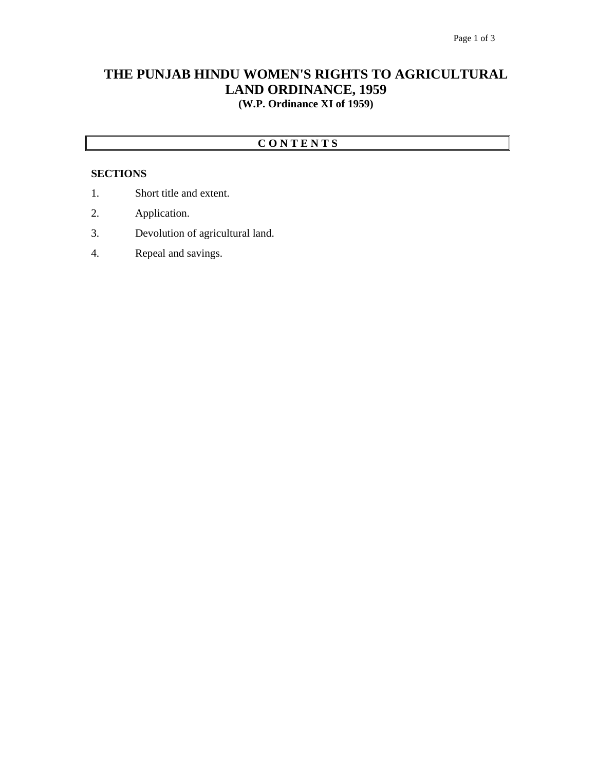## **THE PUNJAB HINDU WOMEN'S RIGHTS TO AGRICULTURAL LAND ORDINANCE, 1959 (W.P. Ordinance XI of 1959)**

### **C O N T E N T S**

#### **SECTIONS**

- 1. Short title and extent.
- 2. Application.
- 3. Devolution of agricultural land.
- 4. Repeal and savings.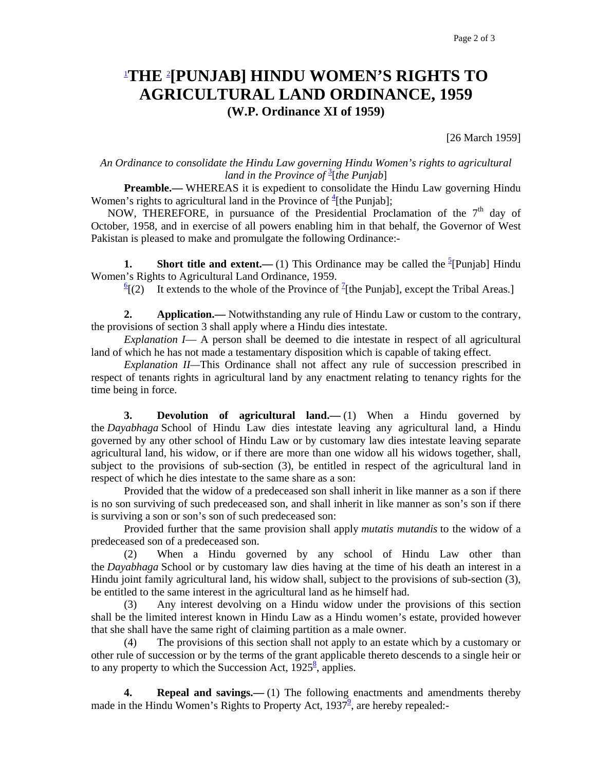# 1 **THE** <sup>2</sup> **[PUNJAB] HINDU WOMEN'S RIGHTS TO AGRICULTURAL LAND ORDINANCE, 1959 (W.P. Ordinance XI of 1959)**

[26 March 1959]

#### *An Ordinance to consolidate the Hindu Law governing Hindu Women's rights to agricultural land in the Province of* <sup>3</sup> [*the Punjab*]

**Preamble.**— WHEREAS it is expedient to consolidate the Hindu Law governing Hindu Women's rights to agricultural land in the Province of  $\frac{4}{ }$ [the Punjab];

NOW, THEREFORE, in pursuance of the Presidential Proclamation of the  $7<sup>th</sup>$  day of October, 1958, and in exercise of all powers enabling him in that behalf, the Governor of West Pakistan is pleased to make and promulgate the following Ordinance:-

**1.** Short title and extent.—(1) This Ordinance may be called the  $\frac{5}{2}$ [Punjab] Hindu Women's Rights to Agricultural Land Ordinance, 1959.

 $\frac{6}{2}$  [(2) It extends to the whole of the Province of <sup>7</sup>[the Punjab], except the Tribal Areas.]

**2. Application.**— Notwithstanding any rule of Hindu Law or custom to the contrary, the provisions of section 3 shall apply where a Hindu dies intestate.

 *Explanation I*— A person shall be deemed to die intestate in respect of all agricultural land of which he has not made a testamentary disposition which is capable of taking effect.

 *Explanation II—*This Ordinance shall not affect any rule of succession prescribed in respect of tenants rights in agricultural land by any enactment relating to tenancy rights for the time being in force.

**3. Devolution of agricultural land.**—(1) When a Hindu governed by the *Dayabhaga* School of Hindu Law dies intestate leaving any agricultural land, a Hindu governed by any other school of Hindu Law or by customary law dies intestate leaving separate agricultural land, his widow, or if there are more than one widow all his widows together, shall, subject to the provisions of sub-section (3), be entitled in respect of the agricultural land in respect of which he dies intestate to the same share as a son:

Provided that the widow of a predeceased son shall inherit in like manner as a son if there is no son surviving of such predeceased son, and shall inherit in like manner as son's son if there is surviving a son or son's son of such predeceased son:

 Provided further that the same provision shall apply *mutatis mutandis* to the widow of a predeceased son of a predeceased son.

 (2) When a Hindu governed by any school of Hindu Law other than the *Dayabhaga* School or by customary law dies having at the time of his death an interest in a Hindu joint family agricultural land, his widow shall, subject to the provisions of sub-section (3), be entitled to the same interest in the agricultural land as he himself had.

 (3) Any interest devolving on a Hindu widow under the provisions of this section shall be the limited interest known in Hindu Law as a Hindu women's estate, provided however that she shall have the same right of claiming partition as a male owner.

 (4) The provisions of this section shall not apply to an estate which by a customary or other rule of succession or by the terms of the grant applicable thereto descends to a single heir or to any property to which the Succession Act,  $1925^8$ , applies.

 **4. Repeal and savings.—** (1) The following enactments and amendments thereby made in the Hindu Women's Rights to Property Act,  $1937^{\frac{9}{2}}$ , are hereby repealed:-